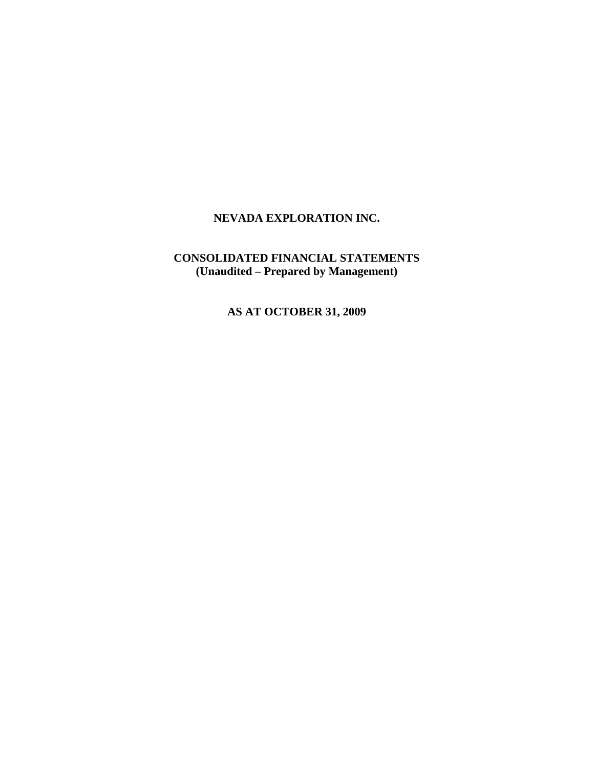# **CONSOLIDATED FINANCIAL STATEMENTS (Unaudited – Prepared by Management)**

**AS AT OCTOBER 31, 2009**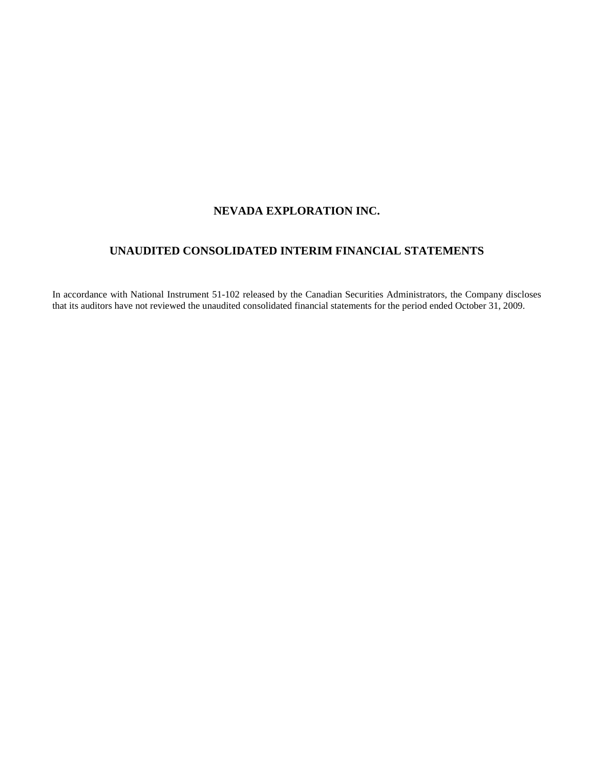# **UNAUDITED CONSOLIDATED INTERIM FINANCIAL STATEMENTS**

In accordance with National Instrument 51-102 released by the Canadian Securities Administrators, the Company discloses that its auditors have not reviewed the unaudited consolidated financial statements for the period ended October 31, 2009.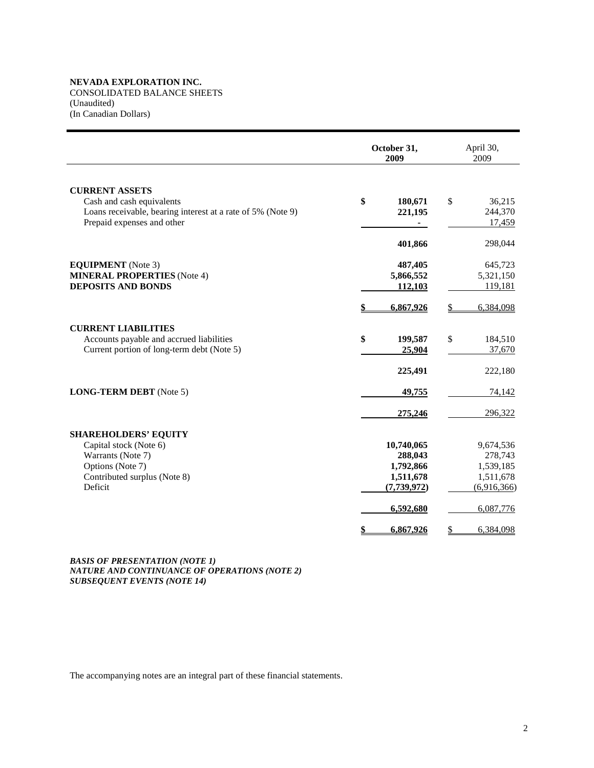CONSOLIDATED BALANCE SHEETS (Unaudited) (In Canadian Dollars)

|                                                                                                                                           | October 31,<br>2009                                              | April 30,<br>2009                                             |
|-------------------------------------------------------------------------------------------------------------------------------------------|------------------------------------------------------------------|---------------------------------------------------------------|
| <b>CURRENT ASSETS</b><br>Cash and cash equivalents<br>Loans receivable, bearing interest at a rate of 5% (Note 9)                         | \$<br>180,671<br>221,195                                         | \$<br>36,215<br>244,370                                       |
| Prepaid expenses and other                                                                                                                | 401,866                                                          | 17,459<br>298,044                                             |
| <b>EQUIPMENT</b> (Note 3)<br><b>MINERAL PROPERTIES</b> (Note 4)<br><b>DEPOSITS AND BONDS</b>                                              | 487,405<br>5,866,552<br>112,103                                  | 645,723<br>5,321,150<br>119,181                               |
|                                                                                                                                           | 6,867,926                                                        | 6,384,098<br>\$                                               |
| <b>CURRENT LIABILITIES</b><br>Accounts payable and accrued liabilities<br>Current portion of long-term debt (Note 5)                      | \$<br>199,587<br>25,904                                          | \$<br>184,510<br>37,670                                       |
| <b>LONG-TERM DEBT</b> (Note 5)                                                                                                            | 225,491<br><u>49,755</u>                                         | 222,180<br>74,142                                             |
|                                                                                                                                           | 275,246                                                          | 296,322                                                       |
| <b>SHAREHOLDERS' EQUITY</b><br>Capital stock (Note 6)<br>Warrants (Note 7)<br>Options (Note 7)<br>Contributed surplus (Note 8)<br>Deficit | 10,740,065<br>288,043<br>1,792,866<br>1,511,678<br>(7, 739, 972) | 9,674,536<br>278,743<br>1,539,185<br>1,511,678<br>(6,916,366) |
|                                                                                                                                           | 6,592,680<br>6,867,926<br>\$                                     | 6,087,776<br>\$<br>6,384,098                                  |

*BASIS OF PRESENTATION (NOTE 1) NATURE AND CONTINUANCE OF OPERATIONS (NOTE 2) SUBSEQUENT EVENTS (NOTE 14)*

The accompanying notes are an integral part of these financial statements.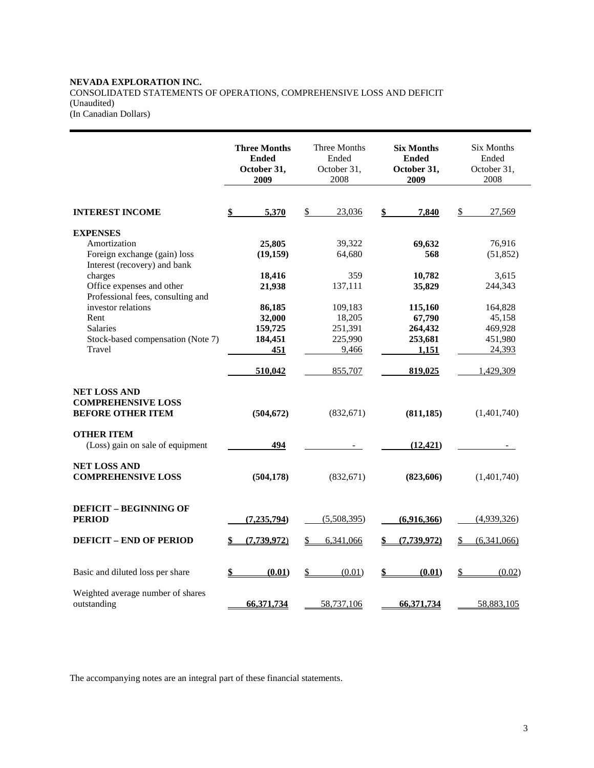# **NEVADA EXPLORATION INC.**  CONSOLIDATED STATEMENTS OF OPERATIONS, COMPREHENSIVE LOSS AND DEFICIT (Unaudited)

(In Canadian Dollars)

|                                                                              | <b>Three Months</b><br><b>Ended</b><br>October 31,<br>2009 | Three Months<br>Ended<br>October 31,<br>2008 | <b>Six Months</b><br><b>Ended</b><br>October 31,<br>2009 | <b>Six Months</b><br>Ended<br>October 31,<br>2008 |
|------------------------------------------------------------------------------|------------------------------------------------------------|----------------------------------------------|----------------------------------------------------------|---------------------------------------------------|
| <b>INTEREST INCOME</b>                                                       | 5,370                                                      | 23,036<br>\$                                 | 7,840                                                    | \$<br>27,569                                      |
| <b>EXPENSES</b>                                                              |                                                            |                                              |                                                          |                                                   |
| Amortization                                                                 | 25,805                                                     | 39,322                                       | 69,632                                                   | 76,916                                            |
| Foreign exchange (gain) loss                                                 | (19, 159)                                                  | 64,680                                       | 568                                                      | (51, 852)                                         |
| Interest (recovery) and bank                                                 |                                                            |                                              |                                                          |                                                   |
| charges                                                                      | 18,416                                                     | 359                                          | 10,782                                                   | 3,615                                             |
| Office expenses and other                                                    | 21,938                                                     | 137,111                                      | 35,829                                                   | 244,343                                           |
| Professional fees, consulting and                                            |                                                            |                                              |                                                          |                                                   |
| investor relations                                                           | 86,185                                                     | 109,183                                      | 115,160                                                  | 164,828                                           |
| Rent                                                                         | 32,000                                                     | 18,205                                       | 67,790                                                   | 45,158                                            |
| Salaries                                                                     | 159,725                                                    | 251,391                                      | 264,432                                                  | 469,928                                           |
| Stock-based compensation (Note 7)                                            | 184,451                                                    | 225,990                                      | 253,681                                                  | 451,980                                           |
| Travel                                                                       | 451                                                        | 9,466                                        | 1,151                                                    | 24,393                                            |
|                                                                              | 510,042                                                    | 855,707                                      | 819,025                                                  | 1,429,309                                         |
| <b>NET LOSS AND</b><br><b>COMPREHENSIVE LOSS</b><br><b>BEFORE OTHER ITEM</b> | (504, 672)                                                 | (832, 671)                                   | (811, 185)                                               | (1,401,740)                                       |
| <b>OTHER ITEM</b>                                                            |                                                            |                                              |                                                          |                                                   |
| (Loss) gain on sale of equipment                                             | 494                                                        |                                              | (12, 421)                                                |                                                   |
|                                                                              |                                                            |                                              |                                                          |                                                   |
| <b>NET LOSS AND</b><br><b>COMPREHENSIVE LOSS</b>                             | (504, 178)                                                 | (832,671)                                    | (823, 606)                                               | (1,401,740)                                       |
| <b>DEFICIT - BEGINNING OF</b><br><b>PERIOD</b>                               | (7, 235, 794)                                              | (5,508,395)                                  | (6,916,366)                                              | (4,939,326)                                       |
| <b>DEFICIT - END OF PERIOD</b>                                               | (7.739.972)                                                | \$<br>6,341,066                              | (7, 739, 972)                                            | (6,341,066)<br>S                                  |
| Basic and diluted loss per share                                             | (0.01)                                                     | $\mathcal{L}$<br>(0.01)                      | (0.01)                                                   | \$<br>(0.02)                                      |
| Weighted average number of shares<br>outstanding                             | 66,371,734                                                 | 58,737,106                                   | 66,371,734                                               | 58,883,105                                        |

The accompanying notes are an integral part of these financial statements.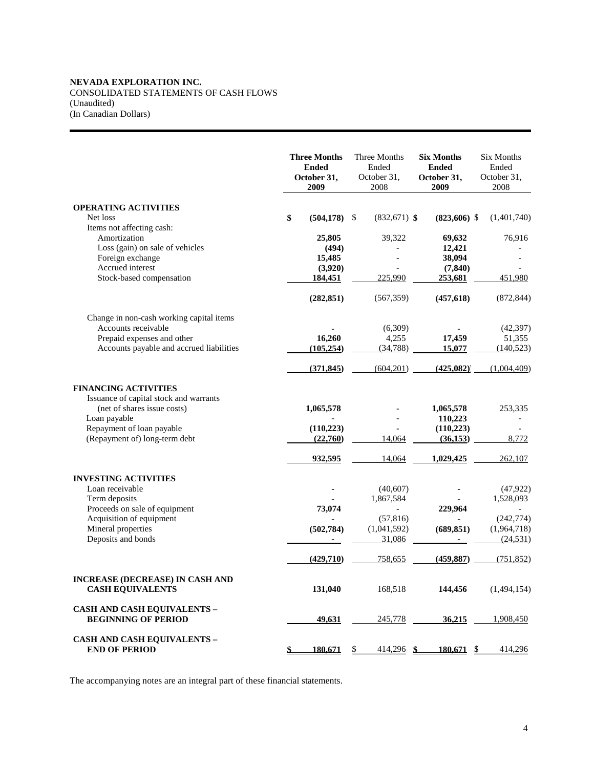# **NEVADA EXPLORATION INC.**  CONSOLIDATED STATEMENTS OF CASH FLOWS (Unaudited)

(In Canadian Dollars)

|                                                                       |    | <b>Three Months</b><br><b>Ended</b><br>October 31,<br>2009 | Three Months<br>Ended<br>October 31,<br>2008 | <b>Six Months</b><br><b>Ended</b><br>October 31,<br>2009 | <b>Six Months</b><br>Ended<br>October 31,<br>2008 |
|-----------------------------------------------------------------------|----|------------------------------------------------------------|----------------------------------------------|----------------------------------------------------------|---------------------------------------------------|
| <b>OPERATING ACTIVITIES</b>                                           |    |                                                            |                                              |                                                          |                                                   |
| Net loss                                                              | \$ | (504, 178)                                                 | \$<br>$(832,671)$ \$                         | $(823,606)$ \$                                           | (1,401,740)                                       |
| Items not affecting cash:                                             |    |                                                            |                                              |                                                          |                                                   |
| Amortization                                                          |    | 25,805                                                     | 39,322                                       | 69,632                                                   | 76,916                                            |
| Loss (gain) on sale of vehicles<br>Foreign exchange                   |    | (494)<br>15,485                                            |                                              | 12,421<br>38,094                                         |                                                   |
| Accrued interest                                                      |    | (3,920)                                                    |                                              | (7, 840)                                                 |                                                   |
| Stock-based compensation                                              |    | 184,451                                                    | 225,990                                      | 253,681                                                  | 451,980                                           |
|                                                                       |    | (282, 851)                                                 | (567, 359)                                   | (457, 618)                                               | (872, 844)                                        |
| Change in non-cash working capital items                              |    |                                                            |                                              |                                                          |                                                   |
| Accounts receivable                                                   |    |                                                            | (6,309)                                      |                                                          | (42, 397)                                         |
| Prepaid expenses and other                                            |    | 16,260                                                     | 4,255                                        | 17,459                                                   | 51,355                                            |
| Accounts payable and accrued liabilities                              |    | (105, 254)                                                 | (34,788)                                     | 15,077                                                   | (140, 523)                                        |
|                                                                       |    | (371, 845)                                                 | (604, 201)                                   | (425,082)                                                | (1,004,409)                                       |
| <b>FINANCING ACTIVITIES</b><br>Issuance of capital stock and warrants |    |                                                            |                                              |                                                          |                                                   |
| (net of shares issue costs)                                           |    | 1,065,578                                                  |                                              | 1,065,578                                                | 253,335                                           |
| Loan payable                                                          |    |                                                            |                                              | 110,223                                                  |                                                   |
| Repayment of loan payable                                             |    | (110, 223)                                                 |                                              | (110, 223)                                               |                                                   |
| (Repayment of) long-term debt                                         |    | (22,760)                                                   | 14,064                                       | (36, 153)                                                | 8,772                                             |
|                                                                       |    | 932,595                                                    | 14,064                                       | 1,029,425                                                | 262,107                                           |
| <b>INVESTING ACTIVITIES</b>                                           |    |                                                            |                                              |                                                          |                                                   |
| Loan receivable                                                       |    |                                                            | (40,607)                                     |                                                          | (47, 922)                                         |
| Term deposits                                                         |    |                                                            | 1,867,584                                    |                                                          | 1,528,093                                         |
| Proceeds on sale of equipment<br>Acquisition of equipment             |    | 73,074                                                     | (57, 816)                                    | 229,964                                                  | (242, 774)                                        |
| Mineral properties                                                    |    | (502, 784)                                                 | (1,041,592)                                  | (689, 851)                                               | (1,964,718)                                       |
| Deposits and bonds                                                    |    |                                                            | 31,086                                       |                                                          | (24, 531)                                         |
|                                                                       |    | (429,710)                                                  | 758,655                                      | (459, 887)                                               | (751, 852)                                        |
| <b>INCREASE (DECREASE) IN CASH AND</b><br><b>CASH EQUIVALENTS</b>     |    | 131,040                                                    | 168,518                                      | 144,456                                                  | (1,494,154)                                       |
|                                                                       |    |                                                            |                                              |                                                          |                                                   |
| <b>CASH AND CASH EQUIVALENTS -</b><br><b>BEGINNING OF PERIOD</b>      |    | 49,631                                                     | 245,778                                      | 36,215                                                   | 1,908,450                                         |
| <b>CASH AND CASH EQUIVALENTS -</b><br><b>END OF PERIOD</b>            | S. | <u>180,671</u>                                             | $414,296$ \$<br>S.                           | <u>180,671 \$</u>                                        | 414,296                                           |

The accompanying notes are an integral part of these financial statements.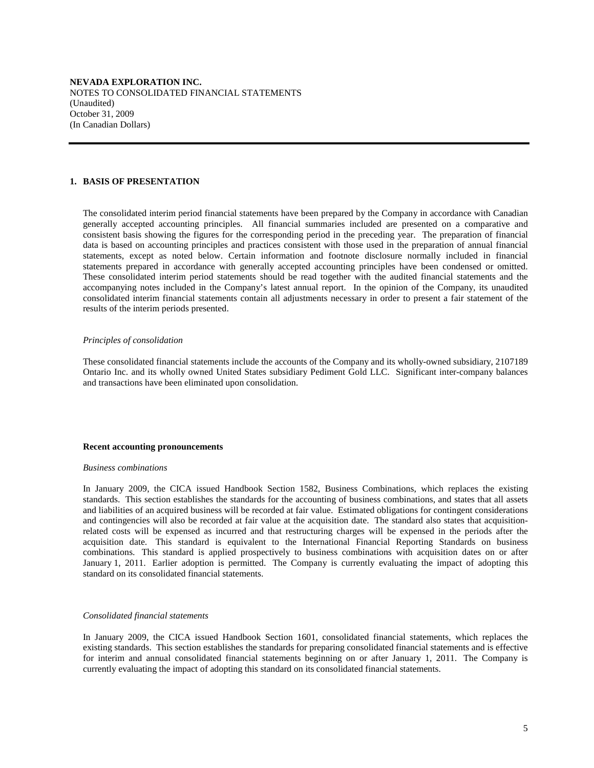#### **1. BASIS OF PRESENTATION**

 The consolidated interim period financial statements have been prepared by the Company in accordance with Canadian generally accepted accounting principles. All financial summaries included are presented on a comparative and consistent basis showing the figures for the corresponding period in the preceding year. The preparation of financial data is based on accounting principles and practices consistent with those used in the preparation of annual financial statements, except as noted below. Certain information and footnote disclosure normally included in financial statements prepared in accordance with generally accepted accounting principles have been condensed or omitted. These consolidated interim period statements should be read together with the audited financial statements and the accompanying notes included in the Company's latest annual report. In the opinion of the Company, its unaudited consolidated interim financial statements contain all adjustments necessary in order to present a fair statement of the results of the interim periods presented.

#### *Principles of consolidation*

 These consolidated financial statements include the accounts of the Company and its wholly-owned subsidiary, 2107189 Ontario Inc. and its wholly owned United States subsidiary Pediment Gold LLC. Significant inter-company balances and transactions have been eliminated upon consolidation.

#### **Recent accounting pronouncements**

#### *Business combinations*

 In January 2009, the CICA issued Handbook Section 1582, Business Combinations, which replaces the existing standards. This section establishes the standards for the accounting of business combinations, and states that all assets and liabilities of an acquired business will be recorded at fair value. Estimated obligations for contingent considerations and contingencies will also be recorded at fair value at the acquisition date. The standard also states that acquisitionrelated costs will be expensed as incurred and that restructuring charges will be expensed in the periods after the acquisition date. This standard is equivalent to the International Financial Reporting Standards on business combinations. This standard is applied prospectively to business combinations with acquisition dates on or after January 1, 2011. Earlier adoption is permitted. The Company is currently evaluating the impact of adopting this standard on its consolidated financial statements.

#### *Consolidated financial statements*

 In January 2009, the CICA issued Handbook Section 1601, consolidated financial statements, which replaces the existing standards. This section establishes the standards for preparing consolidated financial statements and is effective for interim and annual consolidated financial statements beginning on or after January 1, 2011. The Company is currently evaluating the impact of adopting this standard on its consolidated financial statements.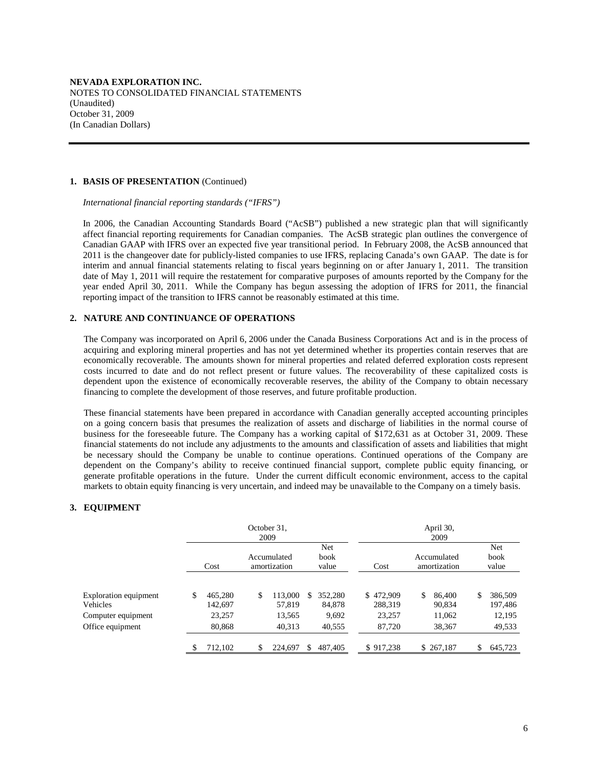### **1. BASIS OF PRESENTATION** (Continued)

 *International financial reporting standards ("IFRS")* 

 In 2006, the Canadian Accounting Standards Board ("AcSB") published a new strategic plan that will significantly affect financial reporting requirements for Canadian companies. The AcSB strategic plan outlines the convergence of Canadian GAAP with IFRS over an expected five year transitional period. In February 2008, the AcSB announced that 2011 is the changeover date for publicly-listed companies to use IFRS, replacing Canada's own GAAP. The date is for interim and annual financial statements relating to fiscal years beginning on or after January 1, 2011. The transition date of May 1, 2011 will require the restatement for comparative purposes of amounts reported by the Company for the year ended April 30, 2011. While the Company has begun assessing the adoption of IFRS for 2011, the financial reporting impact of the transition to IFRS cannot be reasonably estimated at this time.

# **2. NATURE AND CONTINUANCE OF OPERATIONS**

The Company was incorporated on April 6, 2006 under the Canada Business Corporations Act and is in the process of acquiring and exploring mineral properties and has not yet determined whether its properties contain reserves that are economically recoverable. The amounts shown for mineral properties and related deferred exploration costs represent costs incurred to date and do not reflect present or future values. The recoverability of these capitalized costs is dependent upon the existence of economically recoverable reserves, the ability of the Company to obtain necessary financing to complete the development of those reserves, and future profitable production.

These financial statements have been prepared in accordance with Canadian generally accepted accounting principles on a going concern basis that presumes the realization of assets and discharge of liabilities in the normal course of business for the foreseeable future. The Company has a working capital of \$172,631 as at October 31, 2009. These financial statements do not include any adjustments to the amounts and classification of assets and liabilities that might be necessary should the Company be unable to continue operations. Continued operations of the Company are dependent on the Company's ability to receive continued financial support, complete public equity financing, or generate profitable operations in the future. Under the current difficult economic environment, access to the capital markets to obtain equity financing is very uncertain, and indeed may be unavailable to the Company on a timely basis.

# **3. EQUIPMENT**

|                                                         |    |                              | October 31.<br>2009 |                             |     |                            |                                |    | April 30,<br>2009           |    |                              |  |
|---------------------------------------------------------|----|------------------------------|---------------------|-----------------------------|-----|----------------------------|--------------------------------|----|-----------------------------|----|------------------------------|--|
|                                                         |    | Cost                         |                     | Accumulated<br>amortization |     | Net<br>book<br>value       | Cost                           |    | Accumulated<br>amortization |    | Net<br>book<br>value         |  |
| Exploration equipment<br>Vehicles<br>Computer equipment | \$ | 465.280<br>142,697<br>23,257 | \$                  | 113,000<br>57.819<br>13.565 | \$. | 352,280<br>84.878<br>9,692 | \$472,909<br>288.319<br>23,257 | S. | 86,400<br>90,834<br>11,062  | \$ | 386,509<br>197,486<br>12,195 |  |
| Office equipment                                        |    | 80,868                       |                     | 40,313                      |     | 40,555                     | 87.720                         |    | 38,367                      |    | 49,533                       |  |
|                                                         |    | 712,102                      | \$                  | 224,697                     | \$. | 487,405                    | \$917,238                      |    | \$267,187                   | S  | 645,723                      |  |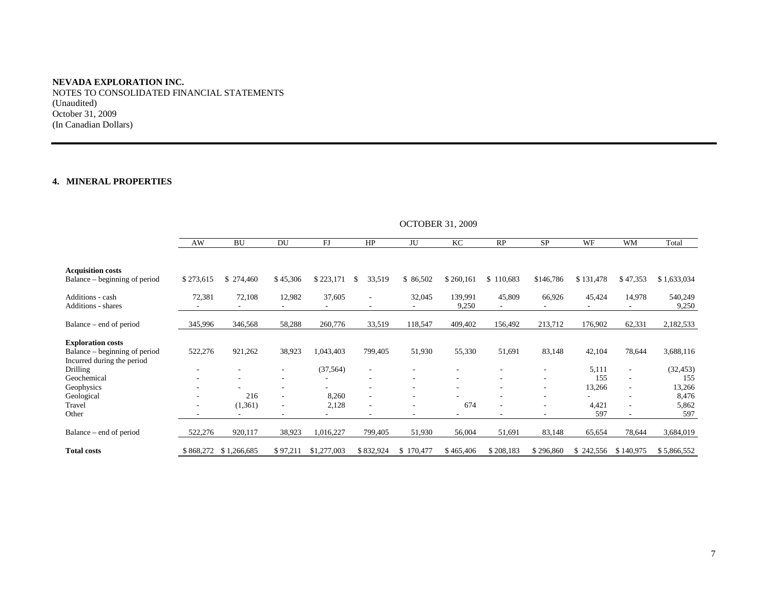NOTES TO CONSOLIDATED FINANCIAL STATEMENTS (Unaudited) October 31, 2009 (In Canadian Dollars)

# **4. MINERAL PROPERTIES**

|                                                                                         | <b>UCTUBER 31, 2009</b> |                       |                          |             |                                                      |           |                  |           |                                                      |              |                                                      |                  |
|-----------------------------------------------------------------------------------------|-------------------------|-----------------------|--------------------------|-------------|------------------------------------------------------|-----------|------------------|-----------|------------------------------------------------------|--------------|------------------------------------------------------|------------------|
|                                                                                         | AW                      | <b>BU</b>             | DU                       | FJ          | HP                                                   | JU        | KC               | RP        | <b>SP</b>                                            | WF           | WM                                                   | Total            |
| <b>Acquisition costs</b><br>Balance - beginning of period                               | \$273,615               | \$274,460             | \$45,306                 | \$223,171   | 33,519<br>S                                          | \$86,502  | \$260,161        | \$110,683 | \$146,786                                            | \$131,478    | \$47,353                                             | \$1,633,034      |
| Additions - cash<br><b>Additions - shares</b>                                           | 72,381                  | 72,108                | 12,982                   | 37,605      | $\overline{\phantom{a}}$<br>$\overline{\phantom{a}}$ | 32,045    | 139,991<br>9,250 | 45,809    | 66,926                                               | 45,424       | 14,978                                               | 540,249<br>9,250 |
| Balance – end of period                                                                 | 345,996                 | 346,568               | 58,288                   | 260,776     | 33,519                                               | 118,547   | 409,402          | 156,492   | 213,712                                              | 176,902      | 62,331                                               | 2,182,533        |
| <b>Exploration costs</b><br>Balance – beginning of period<br>Incurred during the period | 522,276                 | 921,262               | 38,923                   | 1,043,403   | 799,405                                              | 51,930    | 55,330           | 51,691    | 83,148                                               | 42,104       | 78,644                                               | 3,688,116        |
| <b>Drilling</b><br>Geochemical                                                          |                         |                       |                          | (37, 564)   |                                                      |           |                  |           | ٠                                                    | 5,111<br>155 | $\overline{\phantom{a}}$<br>$\overline{\phantom{a}}$ | (32, 453)<br>155 |
| Geophysics<br>Geological                                                                |                         | 216                   | $\overline{\phantom{a}}$ | 8,260       |                                                      |           |                  |           | $\overline{\phantom{a}}$<br>$\overline{\phantom{a}}$ | 13,266       | $\overline{\phantom{a}}$                             | 13,266<br>8,476  |
| Travel<br>Other                                                                         |                         | (1,361)<br>$\sim$     | ۰.                       | 2,128       |                                                      |           | 674<br>٠         |           | $\overline{\phantom{a}}$<br>٠                        | 4,421<br>597 | $\overline{\phantom{a}}$<br>$\sim$                   | 5,862<br>597     |
| Balance – end of period                                                                 | 522,276                 | 920,117               | 38,923                   | 1,016,227   | 799,405                                              | 51,930    | 56,004           | 51,691    | 83,148                                               | 65,654       | 78,644                                               | 3,684,019        |
| <b>Total costs</b>                                                                      |                         | \$868,272 \$1,266,685 | \$97,211                 | \$1,277,003 | \$832,924                                            | \$170,477 | \$465,406        | \$208,183 | \$296,860                                            | \$242,556    | \$140,975                                            | \$5,866,552      |

 $OCTOPEP 31, 2000$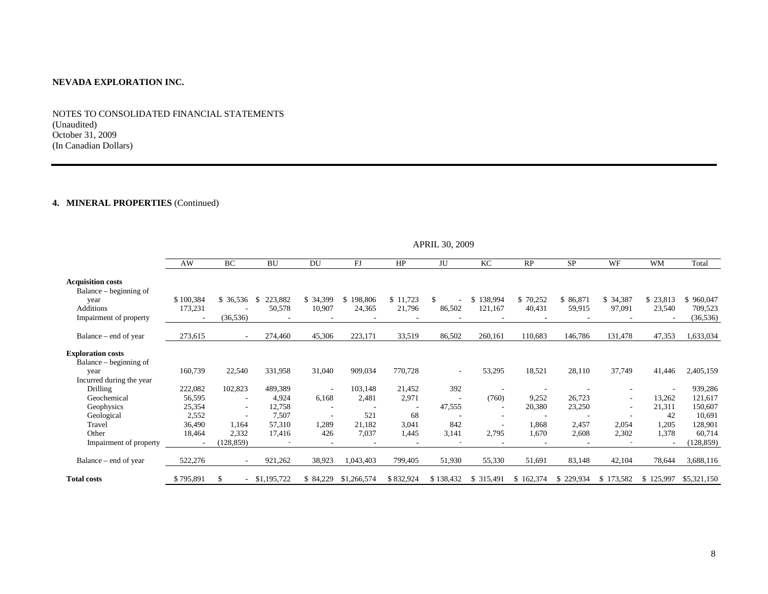NOTES TO CONSOLIDATED FINANCIAL STATEMENTS (Unaudited) October 31, 2009 (In Canadian Dollars)

# **4. MINERAL PROPERTIES** (Continued)

|                                                    | AW        | BC                       | <b>BU</b>   | DU                       | FJ            | HP        | JU                       | KC                       | RP        | <b>SP</b> | <b>WF</b> | <b>WM</b> | Total       |
|----------------------------------------------------|-----------|--------------------------|-------------|--------------------------|---------------|-----------|--------------------------|--------------------------|-----------|-----------|-----------|-----------|-------------|
| <b>Acquisition costs</b><br>Balance – beginning of |           |                          |             |                          |               |           |                          |                          |           |           |           |           |             |
| year                                               | \$100,384 | \$36,536                 | 223,882     | \$34,399                 | 198,806<br>S. | \$11,723  |                          | \$138,994                | \$70,252  | \$86,871  | \$ 34,387 | \$23,813  | \$960,047   |
| Additions                                          | 173,231   |                          | 50,578      | 10,907                   | 24,365        | 21,796    | 86,502                   | 121,167                  | 40,431    | 59,915    | 97,091    | 23,540    | 709,523     |
| Impairment of property                             |           | (36, 536)                |             |                          |               |           |                          |                          |           |           |           |           | (36, 536)   |
| Balance – end of year                              | 273,615   | $\sim$                   | 274,460     | 45,306                   | 223,171       | 33,519    | 86,502                   | 260,161                  | 110,683   | 146,786   | 131,478   | 47,353    | 1,633,034   |
| <b>Exploration costs</b><br>Balance – beginning of |           |                          |             |                          |               |           |                          |                          |           |           |           |           |             |
| year                                               | 160,739   | 22,540                   | 331,958     | 31,040                   | 909,034       | 770,728   | ٠                        | 53,295                   | 18,521    | 28,110    | 37,749    | 41,446    | 2,405,159   |
| Incurred during the year                           |           |                          |             |                          |               |           |                          |                          |           |           |           |           |             |
| <b>Drilling</b>                                    | 222,082   | 102,823                  | 489,389     | $\overline{\phantom{a}}$ | 103,148       | 21,452    | 392                      | $\overline{\phantom{a}}$ |           |           |           |           | 939,286     |
| Geochemical                                        | 56,595    | $\overline{\phantom{a}}$ | 4,924       | 6,168                    | 2,481         | 2,971     | $\overline{\phantom{a}}$ | (760)                    | 9,252     | 26,723    | $\sim$    | 13,262    | 121,617     |
| Geophysics                                         | 25,354    | $\overline{\phantom{a}}$ | 12,758      |                          |               |           | 47,555                   | ٠                        | 20,380    | 23,250    |           | 21,311    | 150,607     |
| Geological                                         | 2,552     |                          | 7,507       |                          | 521           | 68        |                          | ٠                        |           |           |           | 42        | 10,691      |
| Travel                                             | 36,490    | 1,164                    | 57,310      | 1,289                    | 21,182        | 3,041     | 842                      | ٠                        | 1,868     | 2,457     | 2,054     | 1,205     | 128,901     |
| Other                                              | 18,464    | 2,332                    | 17,416      | 426                      | 7,037         | 1,445     | 3,141                    | 2,795                    | 1,670     | 2,608     | 2,302     | 1,378     | 60,714      |
| Impairment of property                             |           | (128, 859)               |             | $\overline{\phantom{a}}$ |               |           |                          | $\overline{\phantom{a}}$ |           |           |           |           | (128, 859)  |
| Balance – end of year                              | 522,276   | $\overline{\phantom{a}}$ | 921,262     | 38,923                   | 1,043,403     | 799,405   | 51,930                   | 55,330                   | 51,691    | 83,148    | 42,104    | 78,644    | 3,688,116   |
| <b>Total costs</b>                                 | \$795,891 |                          | \$1,195,722 | \$ 84,229                | \$1,266,574   | \$832,924 | \$138,432                | \$ 315,491               | \$162,374 | \$229,934 | \$173,582 | \$125,997 | \$5,321,150 |

APRIL 30, 2009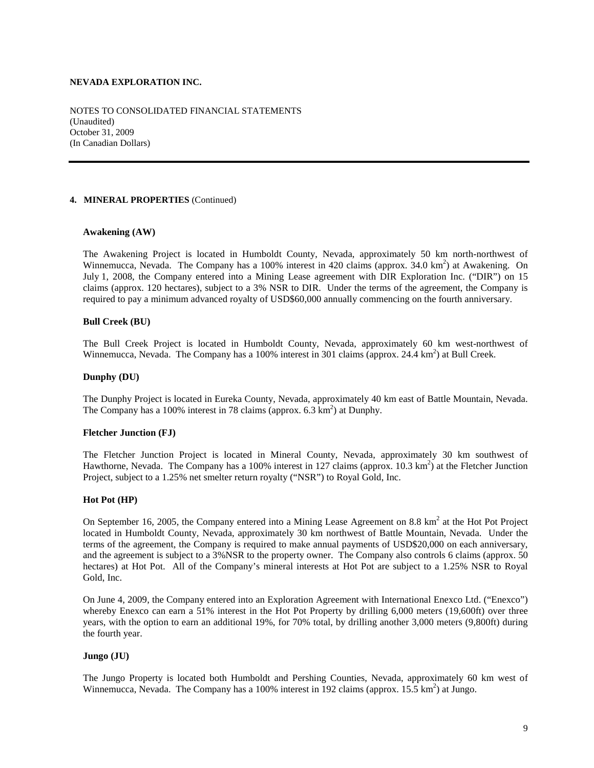NOTES TO CONSOLIDATED FINANCIAL STATEMENTS (Unaudited) October 31, 2009 (In Canadian Dollars)

# **4. MINERAL PROPERTIES** (Continued)

# **Awakening (AW)**

The Awakening Project is located in Humboldt County, Nevada, approximately 50 km north-northwest of Winnemucca, Nevada. The Company has a 100% interest in 420 claims (approx.  $34.0 \text{ km}^2$ ) at Awakening. On July 1, 2008, the Company entered into a Mining Lease agreement with DIR Exploration Inc. ("DIR") on 15 claims (approx. 120 hectares), subject to a 3% NSR to DIR. Under the terms of the agreement, the Company is required to pay a minimum advanced royalty of USD\$60,000 annually commencing on the fourth anniversary.

# **Bull Creek (BU)**

The Bull Creek Project is located in Humboldt County, Nevada, approximately 60 km west-northwest of Winnemucca, Nevada. The Company has a 100% interest in 301 claims (approx. 24.4 km<sup>2</sup>) at Bull Creek.

# **Dunphy (DU)**

The Dunphy Project is located in Eureka County, Nevada, approximately 40 km east of Battle Mountain, Nevada. The Company has a 100% interest in 78 claims (approx. 6.3 km<sup>2</sup>) at Dunphy.

## **Fletcher Junction (FJ)**

The Fletcher Junction Project is located in Mineral County, Nevada, approximately 30 km southwest of Hawthorne, Nevada. The Company has a 100% interest in 127 claims (approx. 10.3 km<sup>2</sup>) at the Fletcher Junction Project, subject to a 1.25% net smelter return royalty ("NSR") to Royal Gold, Inc.

## **Hot Pot (HP)**

On September 16, 2005, the Company entered into a Mining Lease Agreement on 8.8  $\text{km}^2$  at the Hot Project located in Humboldt County, Nevada, approximately 30 km northwest of Battle Mountain, Nevada. Under the terms of the agreement, the Company is required to make annual payments of USD\$20,000 on each anniversary, and the agreement is subject to a 3%NSR to the property owner. The Company also controls 6 claims (approx. 50 hectares) at Hot Pot. All of the Company's mineral interests at Hot Pot are subject to a 1.25% NSR to Royal Gold, Inc.

On June 4, 2009, the Company entered into an Exploration Agreement with International Enexco Ltd. ("Enexco") whereby Enexco can earn a 51% interest in the Hot Pot Property by drilling 6,000 meters (19,600ft) over three years, with the option to earn an additional 19%, for 70% total, by drilling another 3,000 meters (9,800ft) during the fourth year.

# **Jungo (JU)**

The Jungo Property is located both Humboldt and Pershing Counties, Nevada, approximately 60 km west of Winnemucca, Nevada. The Company has a 100% interest in 192 claims (approx.  $15.5 \text{ km}^2$ ) at Jungo.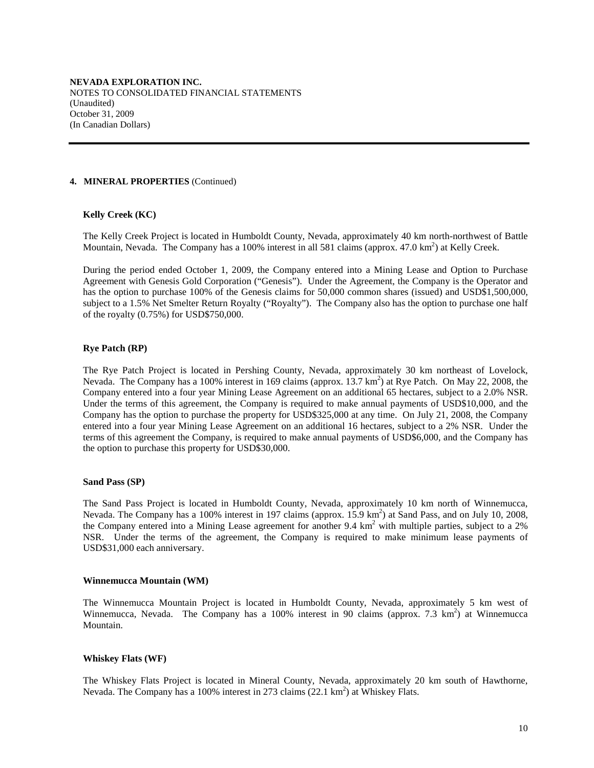#### **4. MINERAL PROPERTIES** (Continued)

## **Kelly Creek (KC)**

The Kelly Creek Project is located in Humboldt County, Nevada, approximately 40 km north-northwest of Battle Mountain, Nevada. The Company has a 100% interest in all 581 claims (approx. 47.0  $\text{km}^2$ ) at Kelly Creek.

During the period ended October 1, 2009, the Company entered into a Mining Lease and Option to Purchase Agreement with Genesis Gold Corporation ("Genesis"). Under the Agreement, the Company is the Operator and has the option to purchase 100% of the Genesis claims for 50,000 common shares (issued) and USD\$1,500,000, subject to a 1.5% Net Smelter Return Royalty ("Royalty"). The Company also has the option to purchase one half of the royalty (0.75%) for USD\$750,000.

## **Rye Patch (RP)**

The Rye Patch Project is located in Pershing County, Nevada, approximately 30 km northeast of Lovelock, Nevada. The Company has a 100% interest in 169 claims (approx.  $13.7 \text{ km}^2$ ) at Rye Patch. On May 22, 2008, the Company entered into a four year Mining Lease Agreement on an additional 65 hectares, subject to a 2.0% NSR. Under the terms of this agreement, the Company is required to make annual payments of USD\$10,000, and the Company has the option to purchase the property for USD\$325,000 at any time. On July 21, 2008, the Company entered into a four year Mining Lease Agreement on an additional 16 hectares, subject to a 2% NSR. Under the terms of this agreement the Company, is required to make annual payments of USD\$6,000, and the Company has the option to purchase this property for USD\$30,000.

#### **Sand Pass (SP)**

The Sand Pass Project is located in Humboldt County, Nevada, approximately 10 km north of Winnemucca, Nevada. The Company has a 100% interest in 197 claims (approx. 15.9 km<sup>2</sup>) at Sand Pass, and on July 10, 2008, the Company entered into a Mining Lease agreement for another 9.4  $km<sup>2</sup>$  with multiple parties, subject to a 2% NSR. Under the terms of the agreement, the Company is required to make minimum lease payments of USD\$31,000 each anniversary.

#### **Winnemucca Mountain (WM)**

The Winnemucca Mountain Project is located in Humboldt County, Nevada, approximately 5 km west of Winnemucca, Nevada. The Company has a 100% interest in 90 claims (approx. 7.3  $km^2$ ) at Winnemucca Mountain.

## **Whiskey Flats (WF)**

The Whiskey Flats Project is located in Mineral County, Nevada, approximately 20 km south of Hawthorne, Nevada. The Company has a 100% interest in 273 claims (22.1 km<sup>2</sup>) at Whiskey Flats.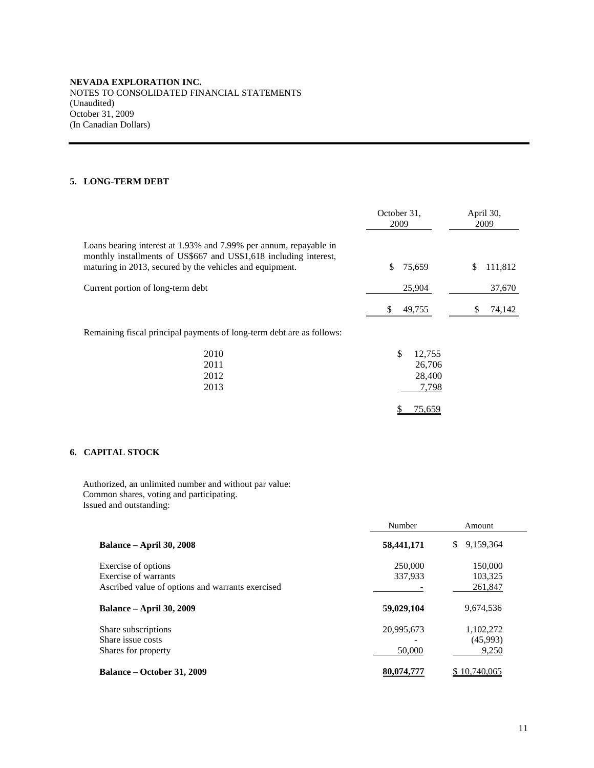# **5. LONG-TERM DEBT**

|                                                                                                                                                                                                    | October 31,<br>2009                       | April 30,<br>2009 |
|----------------------------------------------------------------------------------------------------------------------------------------------------------------------------------------------------|-------------------------------------------|-------------------|
| Loans bearing interest at 1.93% and 7.99% per annum, repayable in<br>monthly installments of US\$667 and US\$1,618 including interest,<br>maturing in 2013, secured by the vehicles and equipment. | 75,659<br>\$                              | 111,812<br>\$     |
| Current portion of long-term debt                                                                                                                                                                  | 25,904                                    | 37,670            |
|                                                                                                                                                                                                    | 49,755<br>\$                              | 74,142            |
| Remaining fiscal principal payments of long-term debt are as follows:                                                                                                                              |                                           |                   |
| 2010<br>2011<br>2012<br>2013                                                                                                                                                                       | \$<br>12,755<br>26,706<br>28,400<br>7,798 |                   |
|                                                                                                                                                                                                    | 75,659<br>P                               |                   |

# **6. CAPITAL STOCK**

Authorized, an unlimited number and without par value: Common shares, voting and participating. Issued and outstanding:

|                                                  | Number     | Amount          |
|--------------------------------------------------|------------|-----------------|
| <b>Balance – April 30, 2008</b>                  | 58,441,171 | 9,159,364<br>\$ |
| Exercise of options                              | 250,000    | 150,000         |
| Exercise of warrants                             | 337,933    | 103,325         |
| Ascribed value of options and warrants exercised |            | 261,847         |
| <b>Balance – April 30, 2009</b>                  | 59,029,104 | 9,674,536       |
| Share subscriptions                              | 20,995,673 | 1,102,272       |
| Share issue costs                                |            | (45,993)        |
| Shares for property                              | 50,000     | 9,250           |
| Balance – October 31, 2009                       | 80,074,777 | 10.740.065      |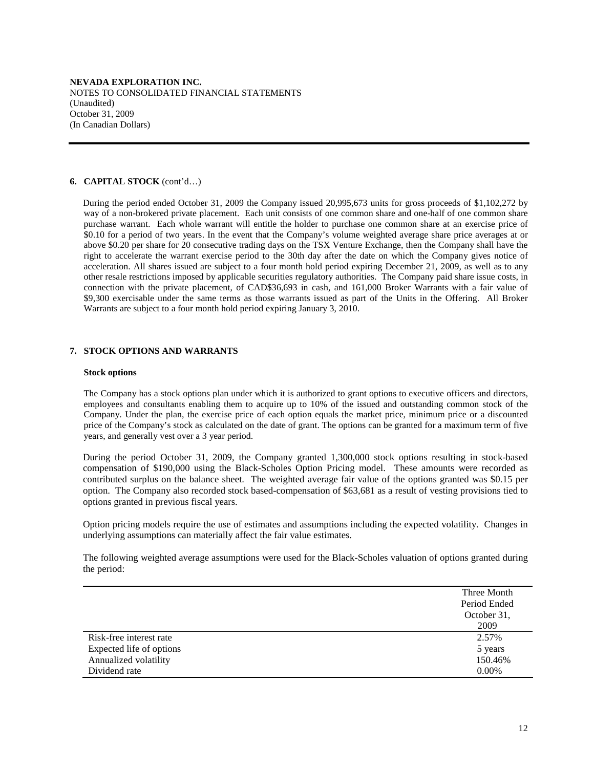## **6. CAPITAL STOCK** (cont'd…)

During the period ended October 31, 2009 the Company issued 20,995,673 units for gross proceeds of \$1,102,272 by way of a non-brokered private placement. Each unit consists of one common share and one-half of one common share purchase warrant. Each whole warrant will entitle the holder to purchase one common share at an exercise price of \$0.10 for a period of two years. In the event that the Company's volume weighted average share price averages at or above \$0.20 per share for 20 consecutive trading days on the TSX Venture Exchange, then the Company shall have the right to accelerate the warrant exercise period to the 30th day after the date on which the Company gives notice of acceleration. All shares issued are subject to a four month hold period expiring December 21, 2009, as well as to any other resale restrictions imposed by applicable securities regulatory authorities.The Company paid share issue costs, in connection with the private placement, of CAD\$36,693 in cash, and 161,000 Broker Warrants with a fair value of \$9,300 exercisable under the same terms as those warrants issued as part of the Units in the Offering. All Broker Warrants are subject to a four month hold period expiring January 3, 2010.

# **7. STOCK OPTIONS AND WARRANTS**

#### **Stock options**

The Company has a stock options plan under which it is authorized to grant options to executive officers and directors, employees and consultants enabling them to acquire up to 10% of the issued and outstanding common stock of the Company. Under the plan, the exercise price of each option equals the market price, minimum price or a discounted price of the Company's stock as calculated on the date of grant. The options can be granted for a maximum term of five years, and generally vest over a 3 year period.

During the period October 31, 2009, the Company granted 1,300,000 stock options resulting in stock-based compensation of \$190,000 using the Black-Scholes Option Pricing model. These amounts were recorded as contributed surplus on the balance sheet. The weighted average fair value of the options granted was \$0.15 per option. The Company also recorded stock based-compensation of \$63,681 as a result of vesting provisions tied to options granted in previous fiscal years.

Option pricing models require the use of estimates and assumptions including the expected volatility. Changes in underlying assumptions can materially affect the fair value estimates.

The following weighted average assumptions were used for the Black-Scholes valuation of options granted during the period:

|                          | Three Month  |
|--------------------------|--------------|
|                          | Period Ended |
|                          | October 31,  |
|                          | 2009         |
| Risk-free interest rate  | 2.57%        |
| Expected life of options | 5 years      |
| Annualized volatility    | 150.46%      |
| Dividend rate            | $0.00\%$     |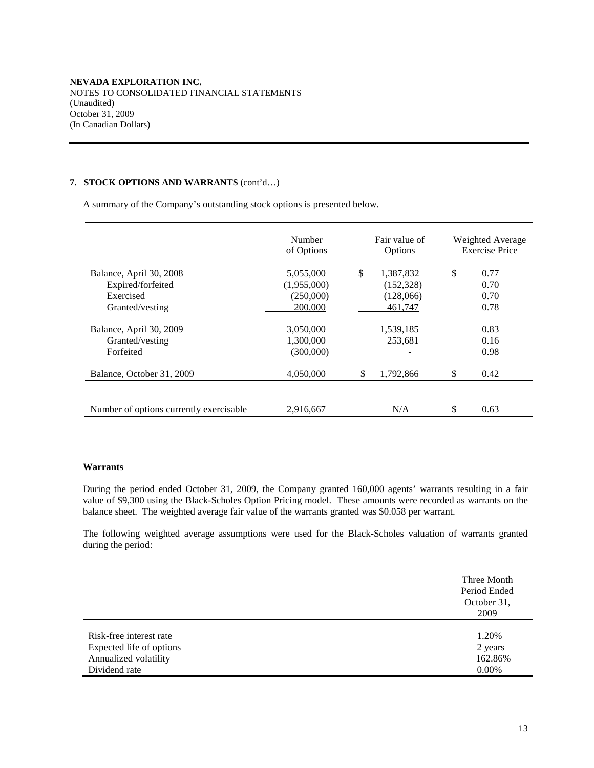# **7. STOCK OPTIONS AND WARRANTS** (cont'd…)

A summary of the Company's outstanding stock options is presented below.

|                                                         | Number<br>of Options                | Fair value of<br>Options      | Weighted Average<br><b>Exercise Price</b> |
|---------------------------------------------------------|-------------------------------------|-------------------------------|-------------------------------------------|
| Balance, April 30, 2008<br>Expired/forfeited            | 5,055,000<br>(1,955,000)            | \$<br>1,387,832<br>(152, 328) | \$<br>0.77<br>0.70                        |
| Exercised<br>Granted/vesting                            | (250,000)<br>200,000                | (128,066)<br>461,747          | 0.70<br>0.78                              |
| Balance, April 30, 2009<br>Granted/vesting<br>Forfeited | 3,050,000<br>1,300,000<br>(300,000) | 1,539,185<br>253,681          | 0.83<br>0.16<br>0.98                      |
| Balance, October 31, 2009                               | 4,050,000                           | \$<br>1,792,866               | \$<br>0.42                                |
| Number of options currently exercisable.                | 2,916,667                           | N/A                           | \$<br>0.63                                |

# **Warrants**

During the period ended October 31, 2009, the Company granted 160,000 agents' warrants resulting in a fair value of \$9,300 using the Black-Scholes Option Pricing model. These amounts were recorded as warrants on the balance sheet. The weighted average fair value of the warrants granted was \$0.058 per warrant.

The following weighted average assumptions were used for the Black-Scholes valuation of warrants granted during the period:

|                                                                              | Three Month<br>Period Ended<br>October 31,<br>2009 |
|------------------------------------------------------------------------------|----------------------------------------------------|
| Risk-free interest rate<br>Expected life of options<br>Annualized volatility | 1.20%<br>2 years<br>162.86%                        |
| Dividend rate                                                                | 0.00%                                              |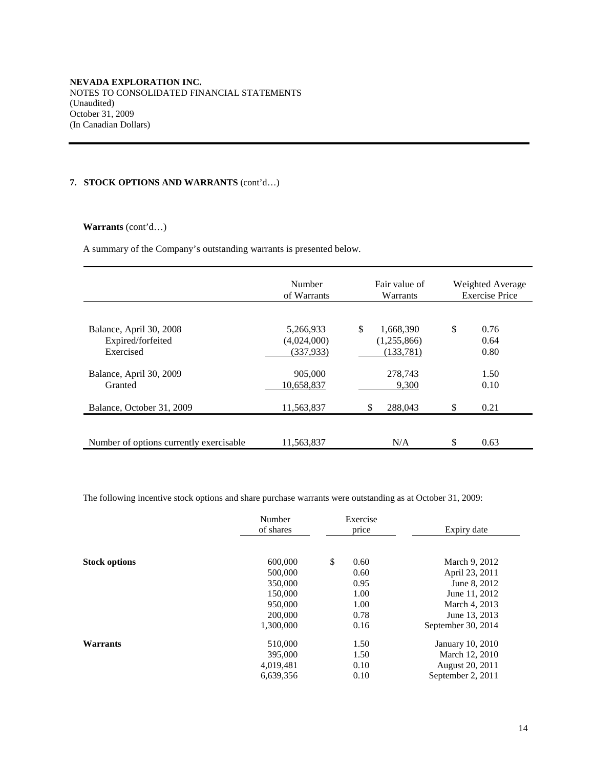# **7. STOCK OPTIONS AND WARRANTS** (cont'd…)

# **Warrants** (cont'd…)

A summary of the Company's outstanding warrants is presented below.

|                                                           | Number<br>of Warrants                  | Fair value of<br>Warrants                   | Weighted Average<br><b>Exercise Price</b> |                      |  |
|-----------------------------------------------------------|----------------------------------------|---------------------------------------------|-------------------------------------------|----------------------|--|
| Balance, April 30, 2008<br>Expired/forfeited<br>Exercised | 5,266,933<br>(4,024,000)<br>(337, 933) | \$<br>1,668,390<br>(1,255,866)<br>(133,781) | \$                                        | 0.76<br>0.64<br>0.80 |  |
| Balance, April 30, 2009<br>Granted                        | 905,000<br>10,658,837                  | 278.743<br>9,300                            |                                           | 1.50<br>0.10         |  |
| Balance, October 31, 2009                                 | 11,563,837                             | 288,043<br>\$                               | \$                                        | 0.21                 |  |
| Number of options currently exercisable.                  | 11.563.837                             | N/A                                         | \$                                        | 0.63                 |  |

The following incentive stock options and share purchase warrants were outstanding as at October 31, 2009:

| of shares<br>Expiry date<br>price                              |  |
|----------------------------------------------------------------|--|
| \$<br>600,000<br><b>Stock options</b><br>0.60<br>March 9, 2012 |  |
| 500,000<br>April 23, 2011<br>0.60                              |  |
| 350,000<br>0.95<br>June 8, 2012                                |  |
| 150,000<br>1.00<br>June 11, 2012                               |  |
| 950,000<br>1.00<br>March 4, 2013                               |  |
| 200,000<br>0.78<br>June 13, 2013                               |  |
| 1,300,000<br>0.16<br>September 30, 2014                        |  |
| 510,000<br>1.50<br>January 10, 2010<br>Warrants                |  |
| 395,000<br>March 12, 2010<br>1.50                              |  |
| 0.10<br>4,019,481<br>August 20, 2011                           |  |
| 6,639,356<br>September 2, 2011<br>0.10                         |  |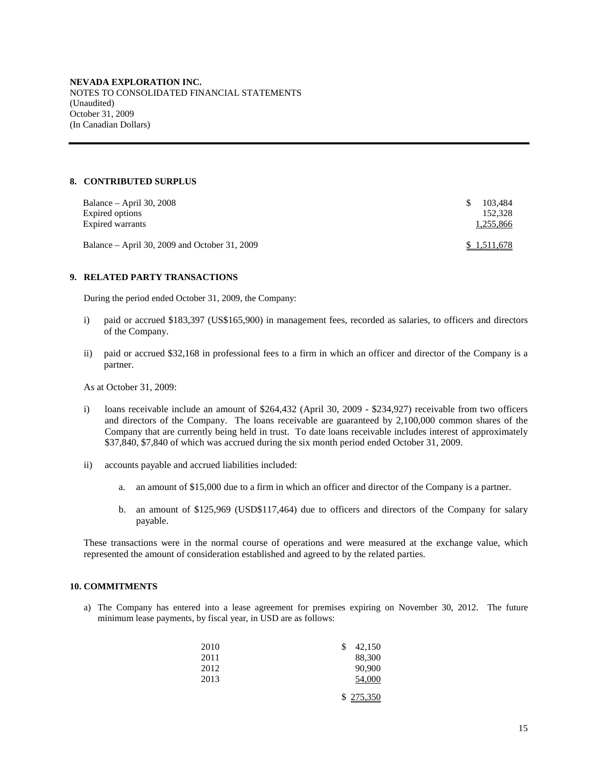# **8. CONTRIBUTED SURPLUS**

| Balance – April 30, 2008<br>Expired options<br>Expired warrants | -SS | 103.484<br>152,328<br>1,255,866 |
|-----------------------------------------------------------------|-----|---------------------------------|
| Balance – April 30, 2009 and October 31, 2009                   |     | \$1,511,678                     |

## **9. RELATED PARTY TRANSACTIONS**

During the period ended October 31, 2009, the Company:

- i) paid or accrued \$183,397 (US\$165,900) in management fees, recorded as salaries, to officers and directors of the Company.
- ii) paid or accrued \$32,168 in professional fees to a firm in which an officer and director of the Company is a partner.

As at October 31, 2009:

- i) loans receivable include an amount of \$264,432 (April 30, 2009 \$234,927) receivable from two officers and directors of the Company. The loans receivable are guaranteed by 2,100,000 common shares of the Company that are currently being held in trust. To date loans receivable includes interest of approximately \$37,840, \$7,840 of which was accrued during the six month period ended October 31, 2009.
- ii) accounts payable and accrued liabilities included:
	- a. an amount of \$15,000 due to a firm in which an officer and director of the Company is a partner.
	- b. an amount of \$125,969 (USD\$117,464) due to officers and directors of the Company for salary payable.

These transactions were in the normal course of operations and were measured at the exchange value, which represented the amount of consideration established and agreed to by the related parties.

# **10. COMMITMENTS**

a) The Company has entered into a lease agreement for premises expiring on November 30, 2012. The future minimum lease payments, by fiscal year, in USD are as follows:

| 2010 | 42,150<br>\$ |
|------|--------------|
| 2011 | 88,300       |
| 2012 | 90,900       |
| 2013 | 54,000       |
|      | \$275,350    |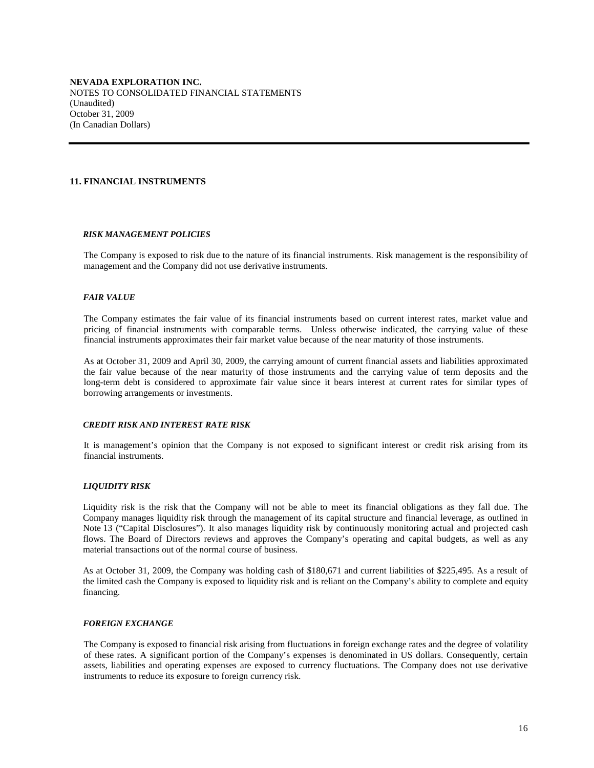## **11. FINANCIAL INSTRUMENTS**

#### *RISK MANAGEMENT POLICIES*

The Company is exposed to risk due to the nature of its financial instruments. Risk management is the responsibility of management and the Company did not use derivative instruments.

#### *FAIR VALUE*

The Company estimates the fair value of its financial instruments based on current interest rates, market value and pricing of financial instruments with comparable terms. Unless otherwise indicated, the carrying value of these financial instruments approximates their fair market value because of the near maturity of those instruments.

As at October 31, 2009 and April 30, 2009, the carrying amount of current financial assets and liabilities approximated the fair value because of the near maturity of those instruments and the carrying value of term deposits and the long-term debt is considered to approximate fair value since it bears interest at current rates for similar types of borrowing arrangements or investments.

#### *CREDIT RISK AND INTEREST RATE RISK*

It is management's opinion that the Company is not exposed to significant interest or credit risk arising from its financial instruments.

## *LIQUIDITY RISK*

Liquidity risk is the risk that the Company will not be able to meet its financial obligations as they fall due. The Company manages liquidity risk through the management of its capital structure and financial leverage, as outlined in Note 13 ("Capital Disclosures"). It also manages liquidity risk by continuously monitoring actual and projected cash flows. The Board of Directors reviews and approves the Company's operating and capital budgets, as well as any material transactions out of the normal course of business.

As at October 31, 2009, the Company was holding cash of \$180,671 and current liabilities of \$225,495. As a result of the limited cash the Company is exposed to liquidity risk and is reliant on the Company's ability to complete and equity financing.

# *FOREIGN EXCHANGE*

The Company is exposed to financial risk arising from fluctuations in foreign exchange rates and the degree of volatility of these rates. A significant portion of the Company's expenses is denominated in US dollars. Consequently, certain assets, liabilities and operating expenses are exposed to currency fluctuations. The Company does not use derivative instruments to reduce its exposure to foreign currency risk.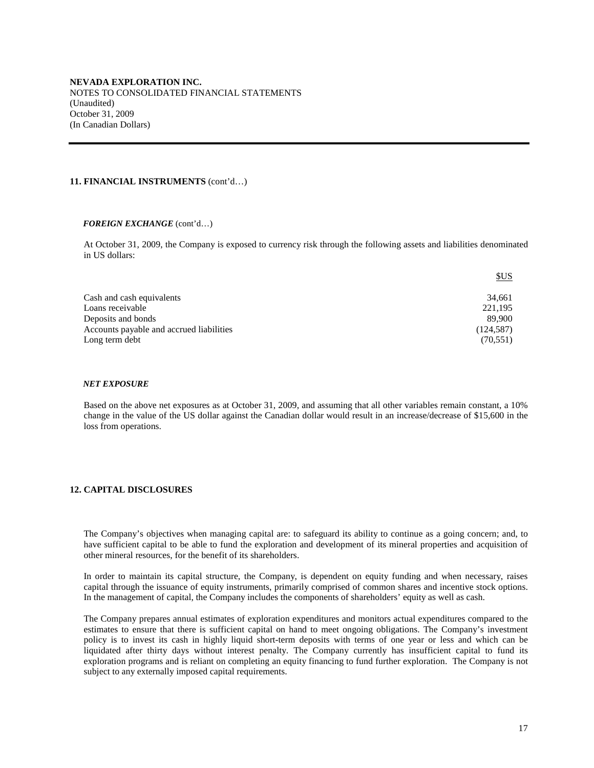#### **11. FINANCIAL INSTRUMENTS** (cont'd…)

#### *FOREIGN EXCHANGE* (cont'd…)

At October 31, 2009, the Company is exposed to currency risk through the following assets and liabilities denominated in US dollars:

| \$US       |
|------------|
| 34.661     |
| 221,195    |
| 89.900     |
| (124, 587) |
| (70, 551)  |
|            |

#### *NET EXPOSURE*

Based on the above net exposures as at October 31, 2009, and assuming that all other variables remain constant, a 10% change in the value of the US dollar against the Canadian dollar would result in an increase/decrease of \$15,600 in the loss from operations.

### **12. CAPITAL DISCLOSURES**

The Company's objectives when managing capital are: to safeguard its ability to continue as a going concern; and, to have sufficient capital to be able to fund the exploration and development of its mineral properties and acquisition of other mineral resources, for the benefit of its shareholders.

In order to maintain its capital structure, the Company, is dependent on equity funding and when necessary, raises capital through the issuance of equity instruments, primarily comprised of common shares and incentive stock options. In the management of capital, the Company includes the components of shareholders' equity as well as cash.

The Company prepares annual estimates of exploration expenditures and monitors actual expenditures compared to the estimates to ensure that there is sufficient capital on hand to meet ongoing obligations. The Company's investment policy is to invest its cash in highly liquid short-term deposits with terms of one year or less and which can be liquidated after thirty days without interest penalty. The Company currently has insufficient capital to fund its exploration programs and is reliant on completing an equity financing to fund further exploration. The Company is not subject to any externally imposed capital requirements.